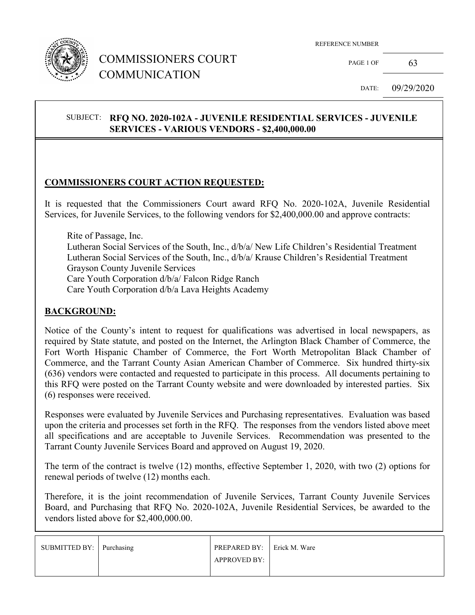

## COMMISSIONERS COURT COMMUNICATION

PAGE 1 OF 63

DATE: 09/29/2020

#### SUBJECT: **RFQ NO. 2020-102A - JUVENILE RESIDENTIAL SERVICES - JUVENILE SERVICES - VARIOUS VENDORS - \$2,400,000.00**

#### **COMMISSIONERS COURT ACTION REQUESTED:**

It is requested that the Commissioners Court award RFQ No. 2020-102A, Juvenile Residential Services, for Juvenile Services, to the following vendors for \$2,400,000.00 and approve contracts:

 Rite of Passage, Inc. Lutheran Social Services of the South, Inc., d/b/a/ New Life Children's Residential Treatment Lutheran Social Services of the South, Inc., d/b/a/ Krause Children's Residential Treatment Grayson County Juvenile Services Care Youth Corporation d/b/a/ Falcon Ridge Ranch Care Youth Corporation d/b/a Lava Heights Academy

#### **BACKGROUND:**

Notice of the County's intent to request for qualifications was advertised in local newspapers, as required by State statute, and posted on the Internet, the Arlington Black Chamber of Commerce, the Fort Worth Hispanic Chamber of Commerce, the Fort Worth Metropolitan Black Chamber of Commerce, and the Tarrant County Asian American Chamber of Commerce. Six hundred thirty-six (636) vendors were contacted and requested to participate in this process. All documents pertaining to this RFQ were posted on the Tarrant County website and were downloaded by interested parties. Six (6) responses were received.

Responses were evaluated by Juvenile Services and Purchasing representatives. Evaluation was based upon the criteria and processes set forth in the RFQ. The responses from the vendors listed above meet all specifications and are acceptable to Juvenile Services. Recommendation was presented to the Tarrant County Juvenile Services Board and approved on August 19, 2020.

The term of the contract is twelve (12) months, effective September 1, 2020, with two (2) options for renewal periods of twelve (12) months each.

Therefore, it is the joint recommendation of Juvenile Services, Tarrant County Juvenile Services Board, and Purchasing that RFQ No. 2020-102A, Juvenile Residential Services, be awarded to the vendors listed above for \$2,400,000,00.

| SUBMITTED BY: Purchasing | <b>PREPARED BY:</b> Frick M. Ware |  |
|--------------------------|-----------------------------------|--|
|                          | <b>APPROVED BY:</b>               |  |
|                          |                                   |  |